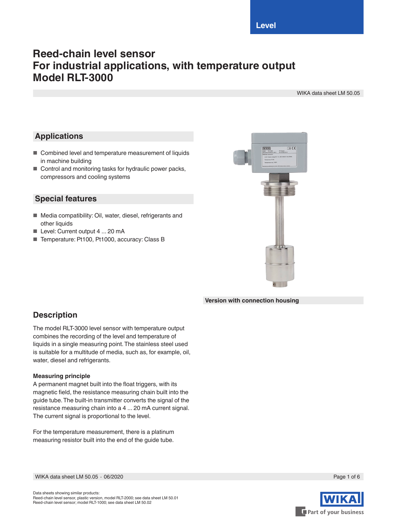**Level**

# **Reed-chain level sensor For industrial applications, with temperature output Model RLT-3000**

WIKA data sheet LM 50.05

### **Applications**

- Combined level and temperature measurement of liquids in machine building
- Control and monitoring tasks for hydraulic power packs, compressors and cooling systems

### **Special features**

- Media compatibility: Oil, water, diesel, refrigerants and other liquids
- Level: Current output 4 ... 20 mA
- Temperature: Pt100, Pt1000, accuracy: Class B



**Version with connection housing**

## **Description**

The model RLT-3000 level sensor with temperature output combines the recording of the level and temperature of liquids in a single measuring point. The stainless steel used is suitable for a multitude of media, such as, for example, oil, water, diesel and refrigerants.

#### **Measuring principle**

A permanent magnet built into the float triggers, with its magnetic field, the resistance measuring chain built into the guide tube. The built-in transmitter converts the signal of the resistance measuring chain into a 4 ... 20 mA current signal. The current signal is proportional to the level.

For the temperature measurement, there is a platinum measuring resistor built into the end of the guide tube.

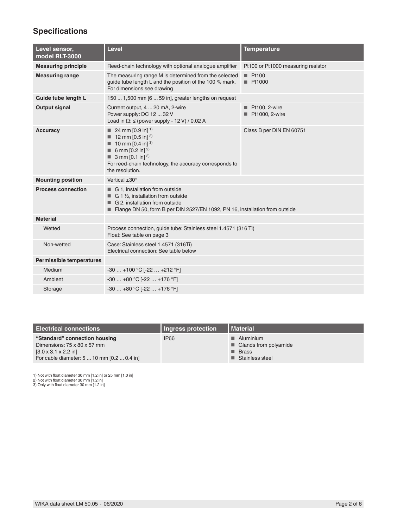# **Specifications**

| Level sensor,<br>model RLT-3000 | Level                                                                                                                                                                                                                                                     | <b>Temperature</b>                             |
|---------------------------------|-----------------------------------------------------------------------------------------------------------------------------------------------------------------------------------------------------------------------------------------------------------|------------------------------------------------|
| <b>Measuring principle</b>      | Reed-chain technology with optional analogue amplifier                                                                                                                                                                                                    | Pt100 or Pt1000 measuring resistor             |
| <b>Measuring range</b>          | The measuring range M is determined from the selected<br>guide tube length L and the position of the 100 % mark.<br>For dimensions see drawing                                                                                                            | Pt100<br>■ Pt1000                              |
| Guide tube length L             | 150  1,500 mm [6  59 in], greater lengths on request                                                                                                                                                                                                      |                                                |
| <b>Output signal</b>            | Current output, 4  20 mA, 2-wire<br>Power supply: DC 12  32 V<br>Load in $\Omega$ : $\leq$ (power supply - 12 V) / 0.02 A                                                                                                                                 | $\blacksquare$ Pt100, 2-wire<br>Pt1000, 2-wire |
| <b>Accuracy</b>                 | 24 mm $[0.9 \text{ in}]$ <sup>1)</sup><br><b>12 mm [0.5 in]</b> <sup>2)</sup><br><b>10 mm [0.4 in]</b> $^{3)}$<br>6 mm $[0.2 \text{ in}]^{2}$<br>3 mm $[0.1 \text{ in}]^{2}$<br>For reed-chain technology, the accuracy corresponds to<br>the resolution. | Class B per DIN EN 60751                       |
| <b>Mounting position</b>        | Vertical $\pm 30^\circ$                                                                                                                                                                                                                                   |                                                |
| <b>Process connection</b>       | G 1, installation from outside<br>$\Box$ G 1 1/ <sub>2</sub> , installation from outside<br>G 2, installation from outside<br>Flange DN 50, form B per DIN 2527/EN 1092, PN 16, installation from outside                                                 |                                                |
| <b>Material</b>                 |                                                                                                                                                                                                                                                           |                                                |
| Wetted                          | Process connection, guide tube: Stainless steel 1.4571 (316 Ti)<br>Float: See table on page 3                                                                                                                                                             |                                                |
| Non-wetted                      | Case: Stainless steel 1.4571 (316Ti)<br>Electrical connection: See table below                                                                                                                                                                            |                                                |
| <b>Permissible temperatures</b> |                                                                                                                                                                                                                                                           |                                                |
| Medium                          | $-30+100$ °C $[-22+212$ °F]                                                                                                                                                                                                                               |                                                |
| Ambient                         | $-30+80 °C [-22+176 °F]$                                                                                                                                                                                                                                  |                                                |
| Storage                         | $-30+80$ °C [-22  +176 °F]                                                                                                                                                                                                                                |                                                |

| <b>Electrical connections</b>              | Ingress protection | l Material               |
|--------------------------------------------|--------------------|--------------------------|
| "Standard" connection housing              | <b>IP66</b>        | $\blacksquare$ Aluminium |
| Dimensions: $75 \times 80 \times 57$ mm    |                    | ■ Glands from polyamide  |
| $[3.0 \times 3.1 \times 2.2]$ in           |                    | $\blacksquare$ Brass     |
| For cable diameter: 5  10 mm [0.2  0.4 in] |                    | ■ Stainless steel        |

1) Not with float diameter 30 mm [1.2 in] or 25 mm [1.0 in] 2) Not with float diameter 30 mm [1.2 in] 3) Only with float diameter 30 mm [1.2 in]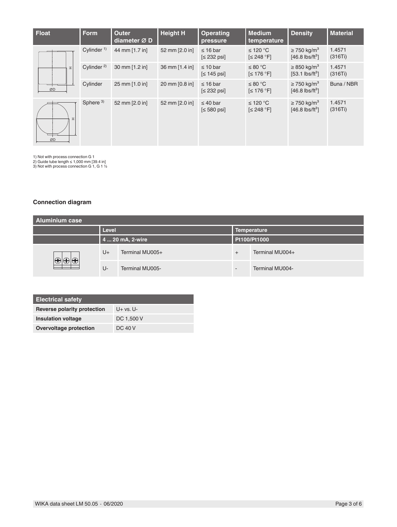| <b>Float</b> | <b>Form</b>    | <b>Outer</b><br>diameter $\varnothing$ D | <b>Height H</b> | <b>Operating</b><br>pressure    | <b>Medium</b><br>temperature          | <b>Density</b>                                                | <b>Material</b>   |
|--------------|----------------|------------------------------------------|-----------------|---------------------------------|---------------------------------------|---------------------------------------------------------------|-------------------|
|              | Cylinder $1$ ) | 44 mm [1.7 in]                           | 52 mm [2.0 in]  | $\leq 16$ bar<br>$\leq$ 232 psi | ≤ 120 °C<br>$\leq$ 248 °F]            | $\geq$ 750 kg/m <sup>3</sup><br>$[46.8 \text{ lbs/ft}^3]$     | 1.4571<br>(316Ti) |
| 피            | Cylinder $2$ ) | 30 mm [1.2 in]                           | 36 mm [1.4 in]  | $\leq 10$ bar<br>$\leq 145$ psi | $\leq 80^{\circ}$ C<br>$\leq 176$ °F] | $\geq$ 850 kg/m <sup>3</sup><br>$[53.1$ lbs/ft <sup>3</sup> ] | 1.4571<br>(316Ti) |
| ØD           | Cylinder       | 25 mm [1.0 in]                           | 20 mm [0.8 in]  | $\leq$ 16 bar<br>$\leq$ 232 psi | ≤ 80 °C<br>$\leq 176$ °F1             | $\geq$ 750 kg/m <sup>3</sup><br>$[46.8 \text{ lbs/ft}^3]$     | Buna / NBR        |
| 피<br>ØD      | Sphere $3)$    | 52 mm [2.0 in]                           | 52 mm [2.0 in]  | $\leq 40$ bar<br>$\leq 580$ psi | ≤ 120 °C<br>$\leq$ 248 °F]            | $\geq$ 750 kg/m <sup>3</sup><br>$[46.8 \text{ lbs/ft}^3]$     | 1.4571<br>(316Ti) |

1) Not with process connection G 1 2) Guide tube length ≤ 1,000 mm [39.4 in] 3) Not with process connection G 1, G 1 ½

### **Connection diagram**

| <b>Aluminium case</b> |              |                  |        |                    |  |
|-----------------------|--------------|------------------|--------|--------------------|--|
|                       | <b>Level</b> |                  |        | <b>Temperature</b> |  |
|                       |              | 4  20 mA, 2-wire |        | Pt100/Pt1000       |  |
|                       | U+           | Terminal MU005+  | $^{+}$ | Terminal MU004+    |  |
|                       | U-           | Terminal MU005-  | -      | Terminal MU004-    |  |

| <b>Electrical safety</b>    |            |
|-----------------------------|------------|
| Reverse polarity protection | $U+vs. U-$ |
| Insulation voltage          | DC 1,500 V |
| Overvoltage protection      | DC 40 V    |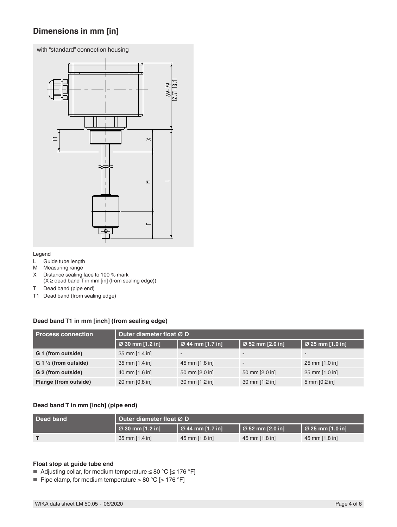## **Dimensions in mm [in]**

with "standard" connection housing



#### Legend

- L Guide tube length
- M Measuring range<br>X Distance sealing
- Distance sealing face to 100 % mark  $(X \geq 0)$  dead band  $\overline{T}$  in mm [in] (from sealing edge))
- T Dead band (pipe end)
- T1 Dead band (from sealing edge)

#### **Dead band T1 in mm [inch] (from sealing edge)**

| <b>Process connection</b>        | Outer diameter float Ø D |                  |                          |                              |
|----------------------------------|--------------------------|------------------|--------------------------|------------------------------|
|                                  | Ø 30 mm [1.2 in]         | Ø 44 mm [1.7 in] | Ø 52 mm [2.0 in]         | $\varnothing$ 25 mm [1.0 in] |
| G 1 (from outside)               | 35 mm [1.4 in]           | -                | -                        |                              |
| $G_1 \frac{1}{2}$ (from outside) | 35 mm [1.4 in]           | 45 mm [1.8 in]   | $\overline{\phantom{a}}$ | 25 mm [1.0 in]               |
| G 2 (from outside)               | 40 mm [1.6 in]           | 50 mm [2.0 in]   | 50 mm [2.0 in]           | 25 mm [1.0 in]               |
| Flange (from outside)            | 20 mm [0.8 in]           | 30 mm [1.2 in]   | 30 mm [1.2 in]           | $5 \text{ mm}$ [0.2 in]      |

#### **Dead band T in mm [inch] (pipe end)**

| Dead band | Outer diameter float $\varnothing$ D |                                    |                                    |                                    |
|-----------|--------------------------------------|------------------------------------|------------------------------------|------------------------------------|
|           | $\varnothing$ 30 mm [1.2 in]         | $\vert \varnothing$ 44 mm [1.7 in] | $\vert \varnothing 52$ mm [2.0 in] | $\vert \varnothing$ 25 mm [1.0 in] |
|           | 35 mm $[1.4 \text{ in}]$             | 45 mm [1.8 in]                     | 45 mm [1.8 in]                     | 45 mm [1.8 in]                     |

#### **Float stop at guide tube end**

■ Adjusting collar, for medium temperature ≤ 80 °C [≤ 176 °F]

■ Pipe clamp, for medium temperature > 80 °C [> 176 °F]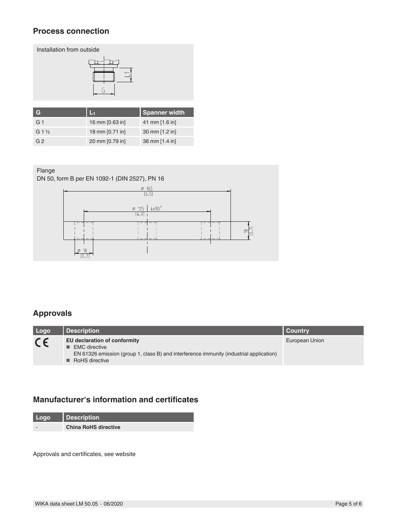### **Process connection**





| G                |                 | <b>Spanner width</b> |
|------------------|-----------------|----------------------|
| G <sub>1</sub>   | 16 mm [0.63 in] | 41 mm [1.6 in]       |
| $G_1\frac{1}{2}$ | 18 mm [0.71 in] | 30 mm [1.2 in]       |
| G <sub>2</sub>   | 20 mm [0.79 in] | 36 mm [1.4 in]       |

#### Flange

DN 50, form B per EN 1092-1 (DIN 2527), PN 16



## **Approvals**

| Logo    | Description                                                                                                                                                                              | Country        |
|---------|------------------------------------------------------------------------------------------------------------------------------------------------------------------------------------------|----------------|
| $C \in$ | EU declaration of conformity<br>$\blacksquare$ EMC directive<br>EN 61326 emission (group 1, class B) and interference immunity (industrial application)<br>$\blacksquare$ RoHS directive | European Union |

## **Manufacturer's information and certificates**

| <b>Logo</b> | Description                 |
|-------------|-----------------------------|
|             | <b>China RoHS directive</b> |

Approvals and certificates, see website